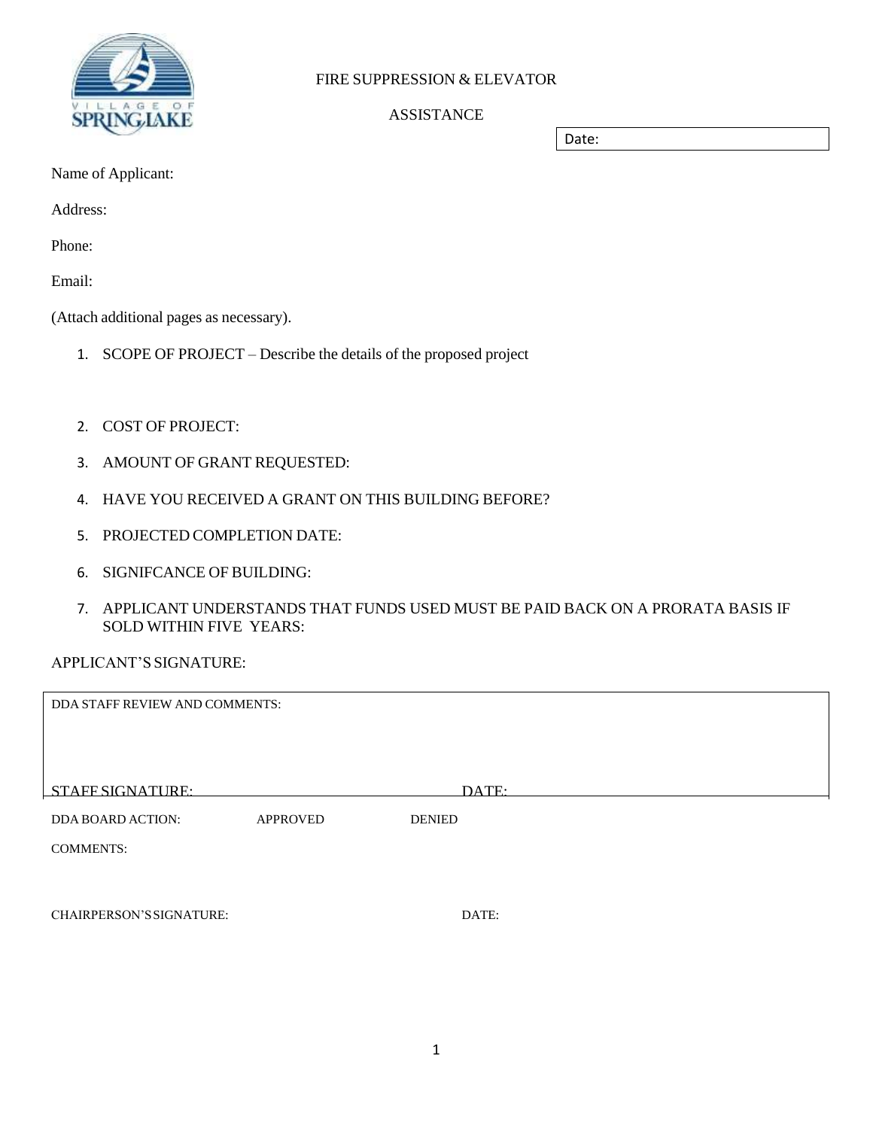

# FIRE SUPPRESSION & ELEVATOR

# ASSISTANCE

Date:

Name of Applicant:

Address:

Phone:

Email:

(Attach additional pages as necessary).

- 1. SCOPE OF PROJECT Describe the details of the proposed project
- 2. COST OF PROJECT:
- 3. AMOUNT OF GRANT REQUESTED:
- 4. HAVE YOU RECEIVED A GRANT ON THIS BUILDING BEFORE?
- 5. PROJECTED COMPLETION DATE:
- 6. SIGNIFCANCE OF BUILDING:
- 7. APPLICANT UNDERSTANDS THAT FUNDS USED MUST BE PAID BACK ON A PRORATA BASIS IF SOLD WITHIN FIVE YEARS:

# APPLICANT'S SIGNATURE:

| DDA STAFF REVIEW AND COMMENTS:  |                 |               |  |  |
|---------------------------------|-----------------|---------------|--|--|
|                                 |                 |               |  |  |
|                                 |                 |               |  |  |
| STAFF SIGNATURE:                |                 | DATE:         |  |  |
| <b>DDA BOARD ACTION:</b>        | <b>APPROVED</b> | <b>DENIED</b> |  |  |
| <b>COMMENTS:</b>                |                 |               |  |  |
|                                 |                 |               |  |  |
|                                 |                 |               |  |  |
| <b>CHAIRPERSON'S SIGNATURE:</b> |                 | DATE:         |  |  |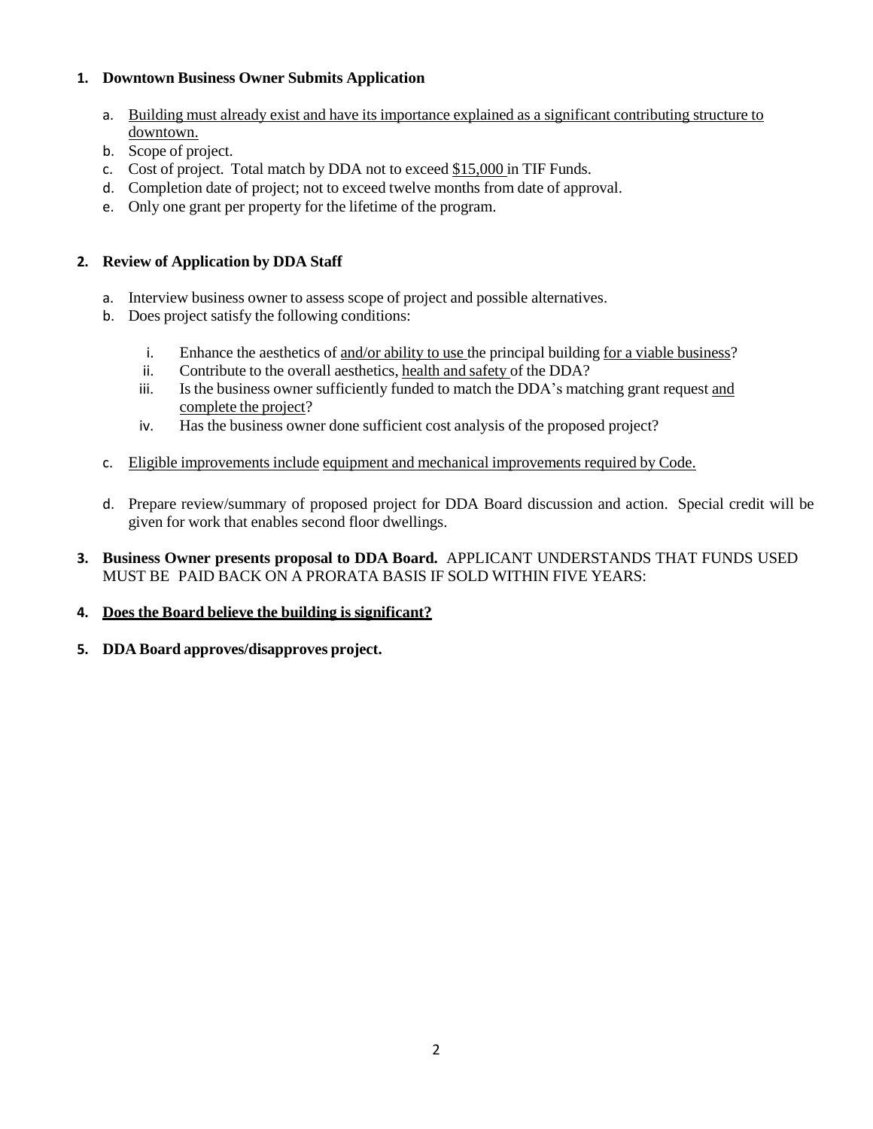## **1. Downtown Business Owner Submits Application**

- a. Building must already exist and have its importance explained as a significant contributing structure to downtown.
- b. Scope of project.
- c. Cost of project. Total match by DDA not to exceed \$15,000 in TIF Funds.
- d. Completion date of project; not to exceed twelve months from date of approval.
- e. Only one grant per property for the lifetime of the program.

## **2. Review of Application by DDA Staff**

- a. Interview business owner to assess scope of project and possible alternatives.
- b. Does project satisfy the following conditions:
	- i. Enhance the aesthetics of and/or ability to use the principal building for a viable business?
	- ii. Contribute to the overall aesthetics, health and safety of the DDA?
	- iii. Is the business owner sufficiently funded to match the DDA's matching grant request and complete the project?
	- iv. Has the business owner done sufficient cost analysis of the proposed project?
- c. Eligible improvements include equipment and mechanical improvements required by Code.
- d. Prepare review/summary of proposed project for DDA Board discussion and action. Special credit will be given for work that enables second floor dwellings.
- **3. Business Owner presents proposal to DDA Board.** APPLICANT UNDERSTANDS THAT FUNDS USED MUST BE PAID BACK ON A PRORATA BASIS IF SOLD WITHIN FIVE YEARS:

### **4. Does the Board believe the building is significant?**

**5. DDA Board approves/disapproves project.**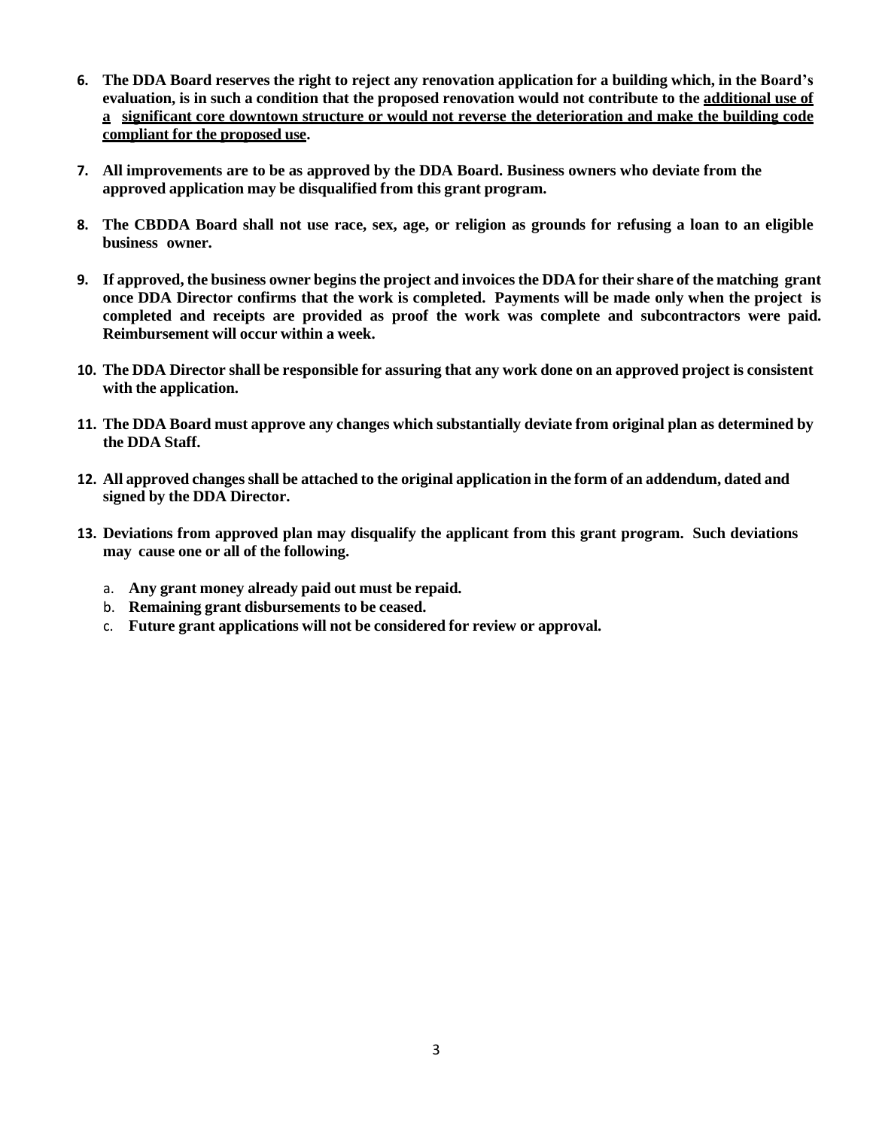- 6. The DDA Board reserves the right to reject any renovation application for a building which, in the Board's evaluation, is in such a condition that the proposed renovation would not contribute to the additional use of **a significant core downtown structure or would not reverse the deterioration and make the building code compliant for the proposed use.**
- **7. All improvements are to be as approved by the DDA Board. Business owners who deviate from the approved application may be disqualified from this grant program.**
- 8. The CBDDA Board shall not use race, sex, age, or religion as grounds for refusing a loan to an eligible **business owner.**
- 9. If approved, the business owner begins the project and invoices the DDA for their share of the matching grant once DDA Director confirms that the work is completed. Payments will be made only when the project is **completed and receipts are provided as proof the work was complete and subcontractors were paid. Reimbursement will occur within a week.**
- 10. The DDA Director shall be responsible for assuring that any work done on an approved project is consistent **with the application.**
- 11. The DDA Board must approve any changes which substantially deviate from original plan as determined by **the DDA Staff.**
- 12. All approved changes shall be attached to the original application in the form of an addendum, dated and **signed by the DDA Director.**
- **13. Deviations from approved plan may disqualify the applicant from this grant program. Such deviations may cause one or all of the following.**
	- a. **Any grant money already paid out must be repaid.**
	- b. **Remaining grant disbursements to be ceased.**
	- c. **Future grant applications will not be considered for review or approval.**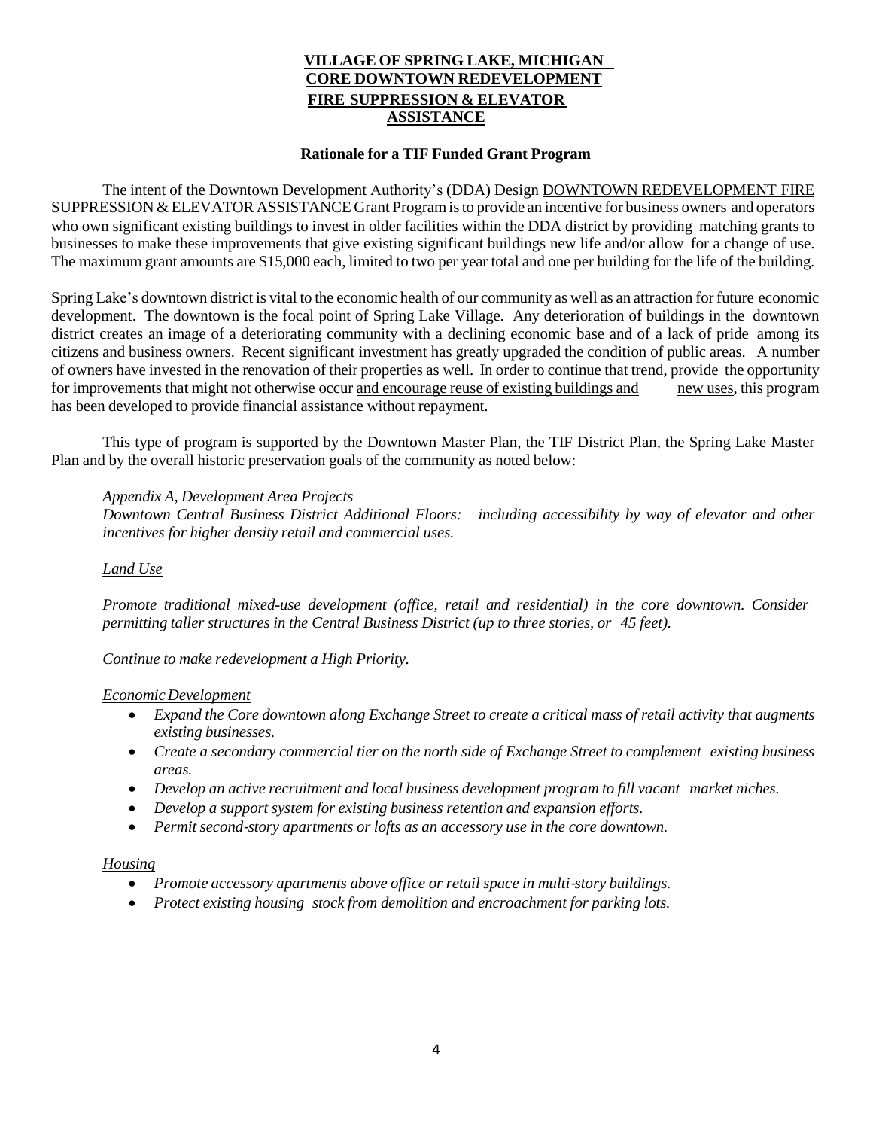### **VILLAGE OF SPRING LAKE, MICHIGAN CORE DOWNTOWN REDEVELOPMENT FIRE SUPPRESSION & ELEVATOR ASSISTANCE**

#### **Rationale for a TIF Funded Grant Program**

The intent of the Downtown Development Authority's (DDA) Design DOWNTOWN REDEVELOPMENT FIRE SUPPRESSION & ELEVATOR ASSISTANCE Grant Programisto provide an incentive for business owners and operators who own significant existing buildings to invest in older facilities within the DDA district by providing matching grants to businesses to make these improvements that give existing significant buildings new life and/or allow for a change of use. The maximum grant amounts are \$15,000 each, limited to two per year total and one per building for the life of the building.

Spring Lake's downtown district is vital to the economic health of our community as well as an attraction for future economic development. The downtown is the focal point of Spring Lake Village. Any deterioration of buildings in the downtown district creates an image of a deteriorating community with a declining economic base and of a lack of pride among its citizens and business owners. Recent significant investment has greatly upgraded the condition of public areas. A number of owners have invested in the renovation of their properties as well. In order to continue that trend, provide the opportunity for improvements that might not otherwise occur and encourage reuse of existing buildings and new uses, this program has been developed to provide financial assistance without repayment.

This type of program is supported by the Downtown Master Plan, the TIF District Plan, the Spring Lake Master Plan and by the overall historic preservation goals of the community as noted below:

#### *Appendix A, Development Area Projects*

*Downtown Central Business District Additional Floors: including accessibility by way of elevator and other incentives for higher density retail and commercial uses.*

#### *Land Use*

*Promote traditional mixed-use development (office, retail and residential) in the core downtown. Consider permitting taller structures in the Central Business District (up to three stories, or 45 feet).* 

*Continue to make redevelopment a High Priority.*

#### *EconomicDevelopment*

- Expand the Core downtown along Exchange Street to create a critical mass of retail activity that augments *existing businesses.*
- *Create a secondary commercial tier on the north side of Exchange Street to complement existing business areas.*
- *Develop an active recruitment and local business development program to fill vacant market niches.*
- *Develop a support system for existing business retention and expansion efforts.*
- *Permit second*‐*story apartments or lofts as an accessory use in the core downtown.*

#### *Housing*

- *Promote accessory apartments above office or retail space in multi*‐*story buildings.*
- *Protect existing housing stock from demolition and encroachment for parking lots.*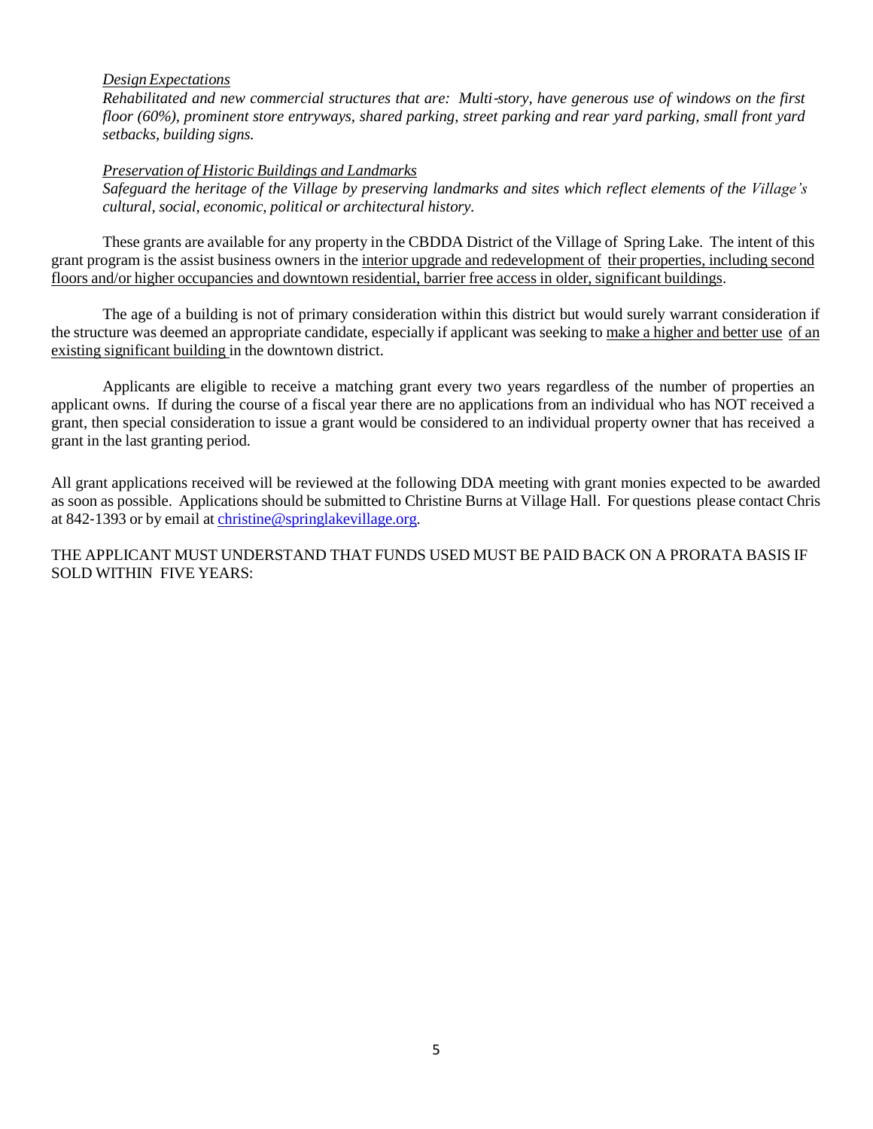### *Design Expectations*

Rehabilitated and new commercial structures that are: Multi-story, have generous use of windows on the first *floor (60%), prominent store entryways, shared parking, street parking and rear yard parking, small front yard setbacks, building signs.*

#### *Preservation of Historic Buildings and Landmarks*

Safeguard the heritage of the Village by preserving landmarks and sites which reflect elements of the Village's *cultural, social, economic, political or architectural history.*

These grants are available for any property in the CBDDA District of the Village of Spring Lake. The intent of this grant program is the assist business owners in the interior upgrade and redevelopment of their properties, including second floors and/or higher occupancies and downtown residential, barrier free access in older, significant buildings.

The age of a building is not of primary consideration within this district but would surely warrant consideration if the structure was deemed an appropriate candidate, especially if applicant was seeking to make a higher and better use of an existing significant building in the downtown district.

Applicants are eligible to receive a matching grant every two years regardless of the number of properties an applicant owns. If during the course of a fiscal year there are no applications from an individual who has NOT received a grant, then special consideration to issue a grant would be considered to an individual property owner that has received a grant in the last granting period.

All grant applications received will be reviewed at the following DDA meeting with grant monies expected to be awarded as soon as possible. Applications should be submitted to Christine Burns at Village Hall. For questions please contact Chris at 842‐1393 or by email at [christine@springlakevillage.org.](mailto:christine@springlakevillage.org)

THE APPLICANT MUST UNDERSTAND THAT FUNDS USED MUST BE PAID BACK ON A PRORATA BASIS IF SOLD WITHIN FIVE YEARS: